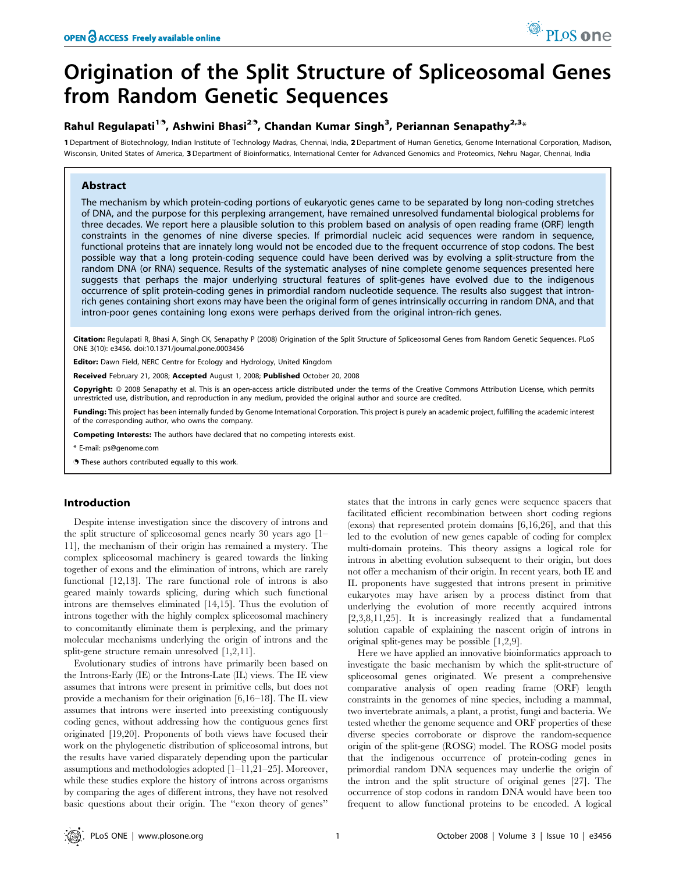# Origination of the Split Structure of Spliceosomal Genes from Random Genetic Sequences

## Rahul Regulapati<sup>19</sup>, Ashwini Bhasi<sup>29</sup>, Chandan Kumar Singh<sup>3</sup>, Periannan Senapathy<sup>2,3</sup>\*

1 Department of Biotechnology, Indian Institute of Technology Madras, Chennai, India, 2Department of Human Genetics, Genome International Corporation, Madison, Wisconsin, United States of America, 3 Department of Bioinformatics, International Center for Advanced Genomics and Proteomics, Nehru Nagar, Chennai, India

## Abstract

The mechanism by which protein-coding portions of eukaryotic genes came to be separated by long non-coding stretches of DNA, and the purpose for this perplexing arrangement, have remained unresolved fundamental biological problems for three decades. We report here a plausible solution to this problem based on analysis of open reading frame (ORF) length constraints in the genomes of nine diverse species. If primordial nucleic acid sequences were random in sequence, functional proteins that are innately long would not be encoded due to the frequent occurrence of stop codons. The best possible way that a long protein-coding sequence could have been derived was by evolving a split-structure from the random DNA (or RNA) sequence. Results of the systematic analyses of nine complete genome sequences presented here suggests that perhaps the major underlying structural features of split-genes have evolved due to the indigenous occurrence of split protein-coding genes in primordial random nucleotide sequence. The results also suggest that intronrich genes containing short exons may have been the original form of genes intrinsically occurring in random DNA, and that intron-poor genes containing long exons were perhaps derived from the original intron-rich genes.

Citation: Regulapati R, Bhasi A, Singh CK, Senapathy P (2008) Origination of the Split Structure of Spliceosomal Genes from Random Genetic Sequences. PLoS ONE 3(10): e3456. doi:10.1371/journal.pone.0003456

Editor: Dawn Field, NERC Centre for Ecology and Hydrology, United Kingdom

Received February 21, 2008; Accepted August 1, 2008; Published October 20, 2008

Copyright: @ 2008 Senapathy et al. This is an open-access article distributed under the terms of the Creative Commons Attribution License, which permits unrestricted use, distribution, and reproduction in any medium, provided the original author and source are credited.

Funding: This project has been internally funded by Genome International Corporation. This project is purely an academic project, fulfilling the academic interest of the corresponding author, who owns the company.

Competing Interests: The authors have declared that no competing interests exist.

\* E-mail: ps@genome.com

. These authors contributed equally to this work.

#### Introduction

Despite intense investigation since the discovery of introns and the split structure of spliceosomal genes nearly 30 years ago [1– 11], the mechanism of their origin has remained a mystery. The complex spliceosomal machinery is geared towards the linking together of exons and the elimination of introns, which are rarely functional [12,13]. The rare functional role of introns is also geared mainly towards splicing, during which such functional introns are themselves eliminated [14,15]. Thus the evolution of introns together with the highly complex spliceosomal machinery to concomitantly eliminate them is perplexing, and the primary molecular mechanisms underlying the origin of introns and the split-gene structure remain unresolved [1,2,11].

Evolutionary studies of introns have primarily been based on the Introns-Early (IE) or the Introns-Late (IL) views. The IE view assumes that introns were present in primitive cells, but does not provide a mechanism for their origination [6,16–18]. The IL view assumes that introns were inserted into preexisting contiguously coding genes, without addressing how the contiguous genes first originated [19,20]. Proponents of both views have focused their work on the phylogenetic distribution of spliceosomal introns, but the results have varied disparately depending upon the particular assumptions and methodologies adopted [1–11,21–25]. Moreover, while these studies explore the history of introns across organisms by comparing the ages of different introns, they have not resolved basic questions about their origin. The ''exon theory of genes''

states that the introns in early genes were sequence spacers that facilitated efficient recombination between short coding regions (exons) that represented protein domains [6,16,26], and that this led to the evolution of new genes capable of coding for complex multi-domain proteins. This theory assigns a logical role for introns in abetting evolution subsequent to their origin, but does not offer a mechanism of their origin. In recent years, both IE and IL proponents have suggested that introns present in primitive eukaryotes may have arisen by a process distinct from that underlying the evolution of more recently acquired introns [2,3,8,11,25]. It is increasingly realized that a fundamental solution capable of explaining the nascent origin of introns in original split-genes may be possible [1,2,9].

Here we have applied an innovative bioinformatics approach to investigate the basic mechanism by which the split-structure of spliceosomal genes originated. We present a comprehensive comparative analysis of open reading frame (ORF) length constraints in the genomes of nine species, including a mammal, two invertebrate animals, a plant, a protist, fungi and bacteria. We tested whether the genome sequence and ORF properties of these diverse species corroborate or disprove the random-sequence origin of the split-gene (ROSG) model. The ROSG model posits that the indigenous occurrence of protein-coding genes in primordial random DNA sequences may underlie the origin of the intron and the split structure of original genes [27]. The occurrence of stop codons in random DNA would have been too frequent to allow functional proteins to be encoded. A logical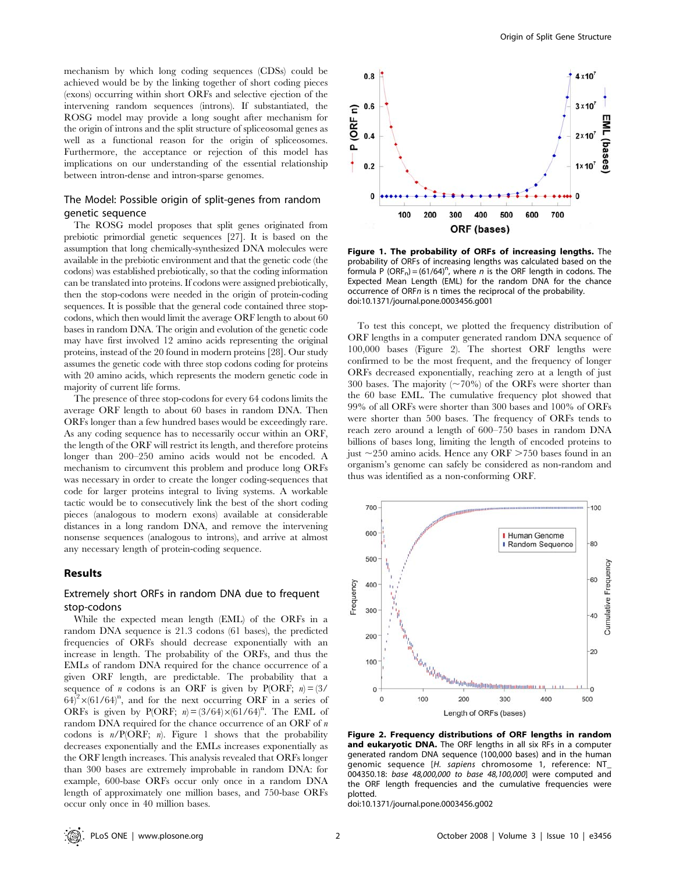mechanism by which long coding sequences (CDSs) could be achieved would be by the linking together of short coding pieces (exons) occurring within short ORFs and selective ejection of the intervening random sequences (introns). If substantiated, the ROSG model may provide a long sought after mechanism for the origin of introns and the split structure of spliceosomal genes as well as a functional reason for the origin of spliceosomes. Furthermore, the acceptance or rejection of this model has implications on our understanding of the essential relationship between intron-dense and intron-sparse genomes.

#### The Model: Possible origin of split-genes from random genetic sequence

The ROSG model proposes that split genes originated from prebiotic primordial genetic sequences [27]. It is based on the assumption that long chemically-synthesized DNA molecules were available in the prebiotic environment and that the genetic code (the codons) was established prebiotically, so that the coding information can be translated into proteins. If codons were assigned prebiotically, then the stop-codons were needed in the origin of protein-coding sequences. It is possible that the general code contained three stopcodons, which then would limit the average ORF length to about 60 bases in random DNA. The origin and evolution of the genetic code may have first involved 12 amino acids representing the original proteins, instead of the 20 found in modern proteins [28]. Our study assumes the genetic code with three stop codons coding for proteins with 20 amino acids, which represents the modern genetic code in majority of current life forms.

The presence of three stop-codons for every 64 codons limits the average ORF length to about 60 bases in random DNA. Then ORFs longer than a few hundred bases would be exceedingly rare. As any coding sequence has to necessarily occur within an ORF, the length of the ORF will restrict its length, and therefore proteins longer than 200–250 amino acids would not be encoded. A mechanism to circumvent this problem and produce long ORFs was necessary in order to create the longer coding-sequences that code for larger proteins integral to living systems. A workable tactic would be to consecutively link the best of the short coding pieces (analogous to modern exons) available at considerable distances in a long random DNA, and remove the intervening nonsense sequences (analogous to introns), and arrive at almost any necessary length of protein-coding sequence.

#### Results

## Extremely short ORFs in random DNA due to frequent stop-codons

While the expected mean length (EML) of the ORFs in a random DNA sequence is 21.3 codons (61 bases), the predicted frequencies of ORFs should decrease exponentially with an increase in length. The probability of the ORFs, and thus the EMLs of random DNA required for the chance occurrence of a given ORF length, are predictable. The probability that a sequence of *n* codons is an ORF is given by P(ORF;  $n = (3/$  $64)^2 \times (61/64)^n$ , and for the next occurring ORF in a series of ORFs is given by P(ORF;  $n = (3/64) \times (61/64)^n$ . The EML of random DNA required for the chance occurrence of an ORF of n codons is  $n/P(ORF; n)$ . Figure 1 shows that the probability decreases exponentially and the EMLs increases exponentially as the ORF length increases. This analysis revealed that ORFs longer than 300 bases are extremely improbable in random DNA: for example, 600-base ORFs occur only once in a random DNA length of approximately one million bases, and 750-base ORFs occur only once in 40 million bases.



Figure 1. The probability of ORFs of increasing lengths. The probability of ORFs of increasing lengths was calculated based on the formula P (ORF<sub>n</sub>) = (61/64)<sup>n</sup>, where *n* is the ORF length in codons. The Expected Mean Length (EML) for the random DNA for the chance occurrence of ORFn is n times the reciprocal of the probability. doi:10.1371/journal.pone.0003456.g001

To test this concept, we plotted the frequency distribution of ORF lengths in a computer generated random DNA sequence of 100,000 bases (Figure 2). The shortest ORF lengths were confirmed to be the most frequent, and the frequency of longer ORFs decreased exponentially, reaching zero at a length of just 300 bases. The majority  $(\sim 70\%)$  of the ORFs were shorter than the 60 base EML. The cumulative frequency plot showed that 99% of all ORFs were shorter than 300 bases and 100% of ORFs were shorter than 500 bases. The frequency of ORFs tends to reach zero around a length of 600–750 bases in random DNA billions of bases long, limiting the length of encoded proteins to just  $\sim$ 250 amino acids. Hence any ORF  $\geq$ 750 bases found in an organism's genome can safely be considered as non-random and thus was identified as a non-conforming ORF.



Figure 2. Frequency distributions of ORF lengths in random and eukaryotic DNA. The ORF lengths in all six RFs in a computer generated random DNA sequence (100,000 bases) and in the human genomic sequence [H. sapiens chromosome 1, reference: NT\_ 004350.18: base 48,000,000 to base 48,100,000] were computed and the ORF length frequencies and the cumulative frequencies were plotted.

doi:10.1371/journal.pone.0003456.g002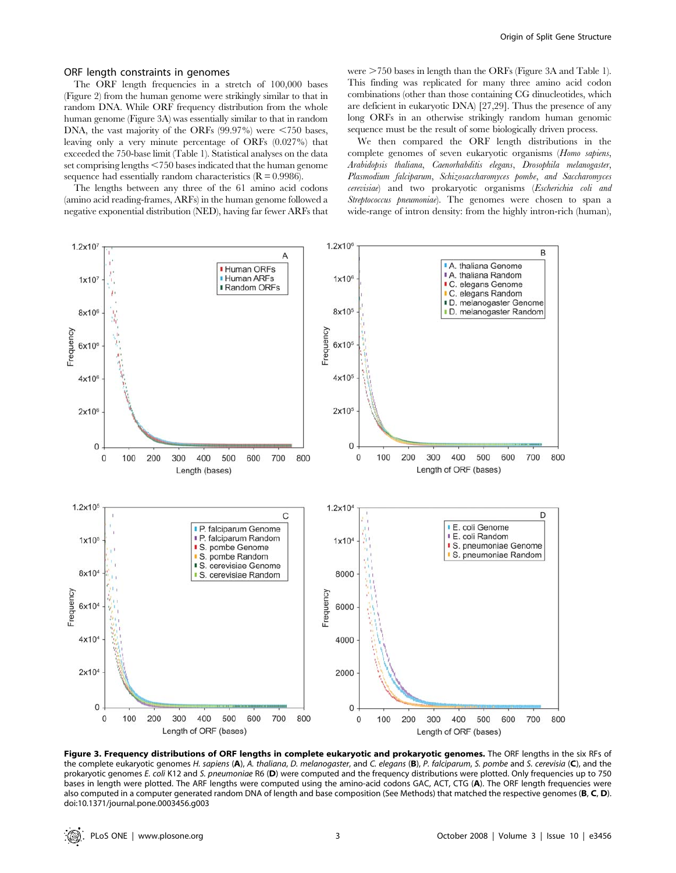#### ORF length constraints in genomes

The ORF length frequencies in a stretch of 100,000 bases (Figure 2) from the human genome were strikingly similar to that in random DNA. While ORF frequency distribution from the whole human genome (Figure 3A) was essentially similar to that in random DNA, the vast majority of the ORFs  $(99.97%)$  were <750 bases, leaving only a very minute percentage of ORFs (0.027%) that exceeded the 750-base limit (Table 1). Statistical analyses on the data set comprising lengths  $\leq$ 750 bases indicated that the human genome sequence had essentially random characteristics  $(R = 0.9986)$ .

The lengths between any three of the 61 amino acid codons (amino acid reading-frames, ARFs) in the human genome followed a negative exponential distribution (NED), having far fewer ARFs that were  $>750$  bases in length than the ORFs (Figure 3A and Table 1). This finding was replicated for many three amino acid codon combinations (other than those containing CG dinucleotides, which are deficient in eukaryotic DNA) [27,29]. Thus the presence of any long ORFs in an otherwise strikingly random human genomic sequence must be the result of some biologically driven process.

We then compared the ORF length distributions in the complete genomes of seven eukaryotic organisms (Homo sapiens, Arabidopsis thaliana, Caenorhabditis elegans, Drosophila melanogaster, Plasmodium falciparum, Schizosaccharomyces pombe, and Saccharomyces cerevisiae) and two prokaryotic organisms (Escherichia coli and Streptococcus pneumoniae). The genomes were chosen to span a wide-range of intron density: from the highly intron-rich (human),



Figure 3. Frequency distributions of ORF lengths in complete eukaryotic and prokaryotic genomes. The ORF lengths in the six RFs of the complete eukaryotic genomes H. sapiens (A), A. thaliana, D. melanogaster, and C. elegans (B), P. falciparum, S. pombe and S. cerevisia (C), and the prokaryotic genomes E. coli K12 and S. pneumoniae R6 (D) were computed and the frequency distributions were plotted. Only frequencies up to 750 bases in length were plotted. The ARF lengths were computed using the amino-acid codons GAC, ACT, CTG (A). The ORF length frequencies were also computed in a computer generated random DNA of length and base composition (See Methods) that matched the respective genomes (B, C, D). doi:10.1371/journal.pone.0003456.g003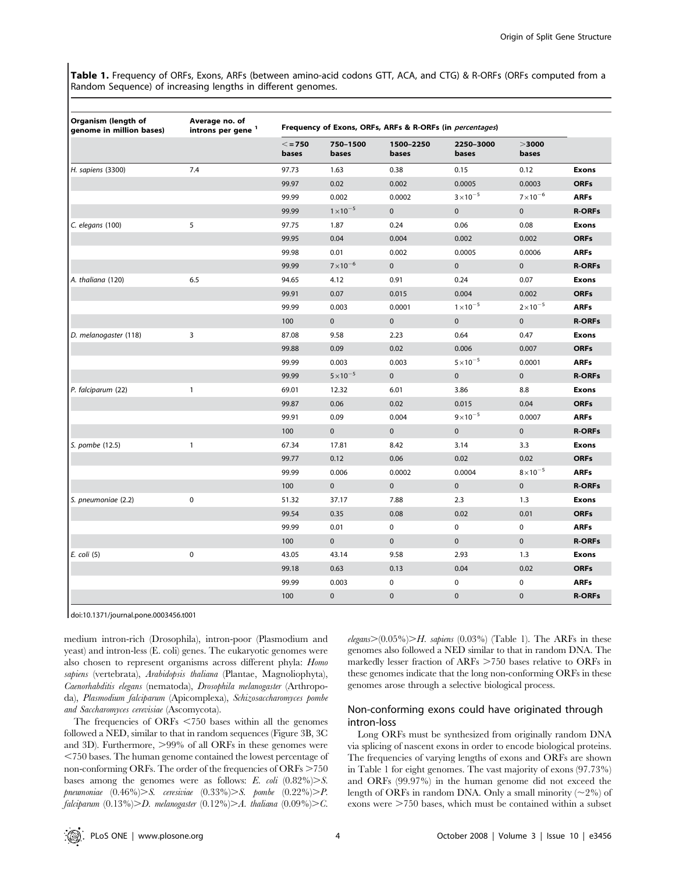Table 1. Frequency of ORFs, Exons, ARFs (between amino-acid codons GTT, ACA, and CTG) & R-ORFs (ORFs computed from a Random Sequence) of increasing lengths in different genomes.

| Organism (length of<br>genome in million bases) | Average no. of<br>introns per gene <sup>1</sup> | Frequency of Exons, ORFs, ARFs & R-ORFs (in percentages) |                    |                    |                    |                    |               |
|-------------------------------------------------|-------------------------------------------------|----------------------------------------------------------|--------------------|--------------------|--------------------|--------------------|---------------|
|                                                 |                                                 | $\leq$ = 750<br>bases                                    | 750-1500<br>bases  | 1500-2250<br>bases | 2250-3000<br>bases | >3000<br>bases     |               |
| H. sapiens (3300)                               | 7.4                                             | 97.73                                                    | 1.63               | 0.38               | 0.15               | 0.12               | <b>Exons</b>  |
|                                                 |                                                 | 99.97                                                    | 0.02               | 0.002              | 0.0005             | 0.0003             | <b>ORFs</b>   |
|                                                 |                                                 | 99.99                                                    | 0.002              | 0.0002             | $3 \times 10^{-5}$ | $7 \times 10^{-6}$ | <b>ARFs</b>   |
|                                                 |                                                 | 99.99                                                    | $1 \times 10^{-5}$ | $\mathbf 0$        | $\pmb{0}$          | $\mathbf 0$        | <b>R-ORFs</b> |
| C. elegans (100)                                | 5                                               | 97.75                                                    | 1.87               | 0.24               | 0.06               | 0.08               | <b>Exons</b>  |
|                                                 |                                                 | 99.95                                                    | 0.04               | 0.004              | 0.002              | 0.002              | <b>ORFs</b>   |
|                                                 |                                                 | 99.98                                                    | 0.01               | 0.002              | 0.0005             | 0.0006             | <b>ARFs</b>   |
|                                                 |                                                 | 99.99                                                    | $7\times10^{-6}$   | $\mathbf{0}$       | $\mathbf 0$        | $\mathbf{0}$       | <b>R-ORFs</b> |
| A. thaliana (120)                               | 6.5                                             | 94.65                                                    | 4.12               | 0.91               | 0.24               | 0.07               | <b>Exons</b>  |
|                                                 |                                                 | 99.91                                                    | 0.07               | 0.015              | 0.004              | 0.002              | <b>ORFs</b>   |
|                                                 |                                                 | 99.99                                                    | 0.003              | 0.0001             | $1 \times 10^{-5}$ | $2 \times 10^{-5}$ | <b>ARFs</b>   |
|                                                 |                                                 | 100                                                      | $\mathbf 0$        | $\mathbf 0$        | $\mathbf 0$        | $\mathbf 0$        | <b>R-ORFs</b> |
| D. melanogaster (118)                           | 3                                               | 87.08                                                    | 9.58               | 2.23               | 0.64               | 0.47               | <b>Exons</b>  |
|                                                 |                                                 | 99.88                                                    | 0.09               | 0.02               | 0.006              | 0.007              | <b>ORFs</b>   |
|                                                 |                                                 | 99.99                                                    | 0.003              | 0.003              | $5\times10^{-5}$   | 0.0001             | <b>ARFs</b>   |
|                                                 |                                                 | 99.99                                                    | $5 \times 10^{-5}$ | $\pmb{0}$          | $\pmb{0}$          | $\mathbf 0$        | <b>R-ORFs</b> |
| P. falciparum (22)                              | $\mathbf{1}$                                    | 69.01                                                    | 12.32              | 6.01               | 3.86               | 8.8                | <b>Exons</b>  |
|                                                 |                                                 | 99.87                                                    | 0.06               | 0.02               | 0.015              | 0.04               | <b>ORFs</b>   |
|                                                 |                                                 | 99.91                                                    | 0.09               | 0.004              | $9 \times 10^{-5}$ | 0.0007             | <b>ARFs</b>   |
|                                                 |                                                 | 100                                                      | $\pmb{0}$          | $\mathbf{0}$       | $\pmb{0}$          | $\pmb{0}$          | <b>R-ORFs</b> |
| S. pombe (12.5)                                 | $\mathbf{1}$                                    | 67.34                                                    | 17.81              | 8.42               | 3.14               | 3.3                | <b>Exons</b>  |
|                                                 |                                                 | 99.77                                                    | 0.12               | 0.06               | 0.02               | 0.02               | <b>ORFs</b>   |
|                                                 |                                                 | 99.99                                                    | 0.006              | 0.0002             | 0.0004             | $8\times10^{-5}$   | <b>ARFs</b>   |
|                                                 |                                                 | 100                                                      | $\pmb{0}$          | $\pmb{0}$          | $\pmb{0}$          | $\mathbf 0$        | <b>R-ORFs</b> |
| S. pneumoniae (2.2)                             | $\pmb{0}$                                       | 51.32                                                    | 37.17              | 7.88               | 2.3                | 1.3                | <b>Exons</b>  |
|                                                 |                                                 | 99.54                                                    | 0.35               | 0.08               | 0.02               | 0.01               | <b>ORFs</b>   |
|                                                 |                                                 | 99.99                                                    | 0.01               | $\pmb{0}$          | $\pmb{0}$          | 0                  | <b>ARFs</b>   |
|                                                 |                                                 | 100                                                      | $\pmb{0}$          | $\mathbf 0$        | $\mathbf{0}$       | $\mathbf{0}$       | <b>R-ORFs</b> |
| E. coli (5)                                     | $\pmb{0}$                                       | 43.05                                                    | 43.14              | 9.58               | 2.93               | 1.3                | <b>Exons</b>  |
|                                                 |                                                 | 99.18                                                    | 0.63               | 0.13               | 0.04               | 0.02               | <b>ORFs</b>   |
|                                                 |                                                 | 99.99                                                    | 0.003              | 0                  | 0                  | 0                  | <b>ARFs</b>   |
|                                                 |                                                 | 100                                                      | $\pmb{0}$          | $\mathbf 0$        | $\mathbf 0$        | $\mathbf 0$        | <b>R-ORFs</b> |

doi:10.1371/journal.pone.0003456.t001

medium intron-rich (Drosophila), intron-poor (Plasmodium and yeast) and intron-less (E. coli) genes. The eukaryotic genomes were also chosen to represent organisms across different phyla: Homo sapiens (vertebrata), Arabidopsis thaliana (Plantae, Magnoliophyta), Caenorhabditis elegans (nematoda), Drosophila melanogaster (Arthropoda), Plasmodium falciparum (Apicomplexa), Schizosaccharomyces pombe and Saccharomyces cerevisiae (Ascomycota).

The frequencies of ORFs  $\leq$ 750 bases within all the genomes followed a NED, similar to that in random sequences (Figure 3B, 3C and 3D). Furthermore,  $>99\%$  of all ORFs in these genomes were ,750 bases. The human genome contained the lowest percentage of non-conforming ORFs. The order of the frequencies of  $ORFs > 750$ bases among the genomes were as follows: E. coli  $(0.82\%) > S$ .  $pnewmoniae (0.46\%) > S.$  ceresiviae  $(0.33\%) > S.$  pombe  $(0.22\%) > P.$ falciparum  $(0.13\%)$ >D. melanogaster  $(0.12\%)$ >A. thaliana  $(0.09\%)$ >C.

elegans $>(0.05\%)$  $>H.$  sapiens (0.03%) (Table 1). The ARFs in these genomes also followed a NED similar to that in random DNA. The markedly lesser fraction of ARFs >750 bases relative to ORFs in these genomes indicate that the long non-conforming ORFs in these genomes arose through a selective biological process.

## Non-conforming exons could have originated through intron-loss

Long ORFs must be synthesized from originally random DNA via splicing of nascent exons in order to encode biological proteins. The frequencies of varying lengths of exons and ORFs are shown in Table 1 for eight genomes. The vast majority of exons (97.73%) and ORFs (99.97%) in the human genome did not exceed the length of ORFs in random DNA. Only a small minority  $(\sim 2\%)$  of exons were  $>750$  bases, which must be contained within a subset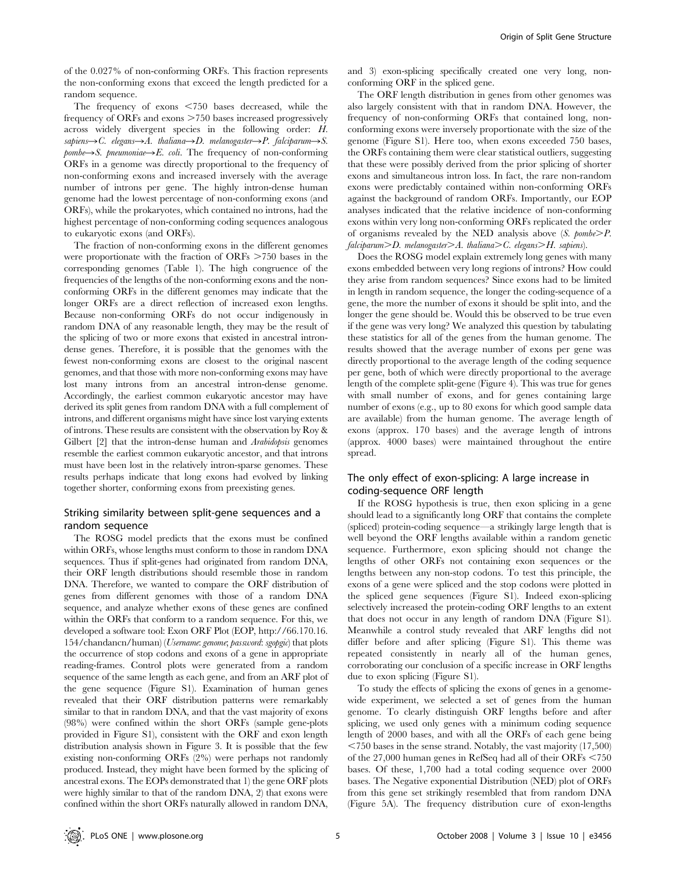of the 0.027% of non-conforming ORFs. This fraction represents the non-conforming exons that exceed the length predicted for a random sequence.

The frequency of exons  $\leq 750$  bases decreased, while the frequency of ORFs and exons  $>750$  bases increased progressively across widely divergent species in the following order: H. sapiens $\rightarrow$ C. elegans $\rightarrow$ A. thaliana $\rightarrow$ D. melanogaster $\rightarrow$ P. falciparum $\rightarrow$ S.  $pombe \rightarrow S$ . pneumoniae $\rightarrow E$ . coli. The frequency of non-conforming ORFs in a genome was directly proportional to the frequency of non-conforming exons and increased inversely with the average number of introns per gene. The highly intron-dense human genome had the lowest percentage of non-conforming exons (and ORFs), while the prokaryotes, which contained no introns, had the highest percentage of non-conforming coding sequences analogous to eukaryotic exons (and ORFs).

The fraction of non-conforming exons in the different genomes were proportionate with the fraction of  $ORFs > 750$  bases in the corresponding genomes (Table 1). The high congruence of the frequencies of the lengths of the non-conforming exons and the nonconforming ORFs in the different genomes may indicate that the longer ORFs are a direct reflection of increased exon lengths. Because non-conforming ORFs do not occur indigenously in random DNA of any reasonable length, they may be the result of the splicing of two or more exons that existed in ancestral introndense genes. Therefore, it is possible that the genomes with the fewest non-conforming exons are closest to the original nascent genomes, and that those with more non-conforming exons may have lost many introns from an ancestral intron-dense genome. Accordingly, the earliest common eukaryotic ancestor may have derived its split genes from random DNA with a full complement of introns, and different organisms might have since lost varying extents of introns. These results are consistent with the observation by Roy & Gilbert [2] that the intron-dense human and *Arabidopsis* genomes resemble the earliest common eukaryotic ancestor, and that introns must have been lost in the relatively intron-sparse genomes. These results perhaps indicate that long exons had evolved by linking together shorter, conforming exons from preexisting genes.

#### Striking similarity between split-gene sequences and a random sequence

The ROSG model predicts that the exons must be confined within ORFs, whose lengths must conform to those in random DNA sequences. Thus if split-genes had originated from random DNA, their ORF length distributions should resemble those in random DNA. Therefore, we wanted to compare the ORF distribution of genes from different genomes with those of a random DNA sequence, and analyze whether exons of these genes are confined within the ORFs that conform to a random sequence. For this, we developed a software tool: Exon ORF Plot (EOP, http://66.170.16. 154/chandancn/human) (Username: genome; password: sgopgic) that plots the occurrence of stop codons and exons of a gene in appropriate reading-frames. Control plots were generated from a random sequence of the same length as each gene, and from an ARF plot of the gene sequence (Figure S1). Examination of human genes revealed that their ORF distribution patterns were remarkably similar to that in random DNA, and that the vast majority of exons (98%) were confined within the short ORFs (sample gene-plots provided in Figure S1), consistent with the ORF and exon length distribution analysis shown in Figure 3. It is possible that the few existing non-conforming ORFs (2%) were perhaps not randomly produced. Instead, they might have been formed by the splicing of ancestral exons. The EOPs demonstrated that 1) the gene ORF plots were highly similar to that of the random DNA, 2) that exons were confined within the short ORFs naturally allowed in random DNA,

and 3) exon-splicing specifically created one very long, nonconforming ORF in the spliced gene.

The ORF length distribution in genes from other genomes was also largely consistent with that in random DNA. However, the frequency of non-conforming ORFs that contained long, nonconforming exons were inversely proportionate with the size of the genome (Figure S1). Here too, when exons exceeded 750 bases, the ORFs containing them were clear statistical outliers, suggesting that these were possibly derived from the prior splicing of shorter exons and simultaneous intron loss. In fact, the rare non-random exons were predictably contained within non-conforming ORFs against the background of random ORFs. Importantly, our EOP analyses indicated that the relative incidence of non-conforming exons within very long non-conforming ORFs replicated the order of organisms revealed by the NED analysis above  $(S. pombe > P.$  $falciparum$  $\geq D$ . melanogaster $\geq A$ . thaliana $\geq C$ . elegans $\geq H$ . sapiens).

Does the ROSG model explain extremely long genes with many exons embedded between very long regions of introns? How could they arise from random sequences? Since exons had to be limited in length in random sequence, the longer the coding-sequence of a gene, the more the number of exons it should be split into, and the longer the gene should be. Would this be observed to be true even if the gene was very long? We analyzed this question by tabulating these statistics for all of the genes from the human genome. The results showed that the average number of exons per gene was directly proportional to the average length of the coding sequence per gene, both of which were directly proportional to the average length of the complete split-gene (Figure 4). This was true for genes with small number of exons, and for genes containing large number of exons (e.g., up to 80 exons for which good sample data are available) from the human genome. The average length of exons (approx. 170 bases) and the average length of introns (approx. 4000 bases) were maintained throughout the entire spread.

#### The only effect of exon-splicing: A large increase in coding-sequence ORF length

If the ROSG hypothesis is true, then exon splicing in a gene should lead to a significantly long ORF that contains the complete (spliced) protein-coding sequence—a strikingly large length that is well beyond the ORF lengths available within a random genetic sequence. Furthermore, exon splicing should not change the lengths of other ORFs not containing exon sequences or the lengths between any non-stop codons. To test this principle, the exons of a gene were spliced and the stop codons were plotted in the spliced gene sequences (Figure S1). Indeed exon-splicing selectively increased the protein-coding ORF lengths to an extent that does not occur in any length of random DNA (Figure S1). Meanwhile a control study revealed that ARF lengths did not differ before and after splicing (Figure S1). This theme was repeated consistently in nearly all of the human genes, corroborating our conclusion of a specific increase in ORF lengths due to exon splicing (Figure S1).

To study the effects of splicing the exons of genes in a genomewide experiment, we selected a set of genes from the human genome. To clearly distinguish ORF lengths before and after splicing, we used only genes with a minimum coding sequence length of 2000 bases, and with all the ORFs of each gene being  $\leq$ 750 bases in the sense strand. Notably, the vast majority (17,500) of the  $27,000$  human genes in RefSeq had all of their ORFs  $\leq 750$ bases. Of these, 1,700 had a total coding sequence over 2000 bases. The Negative exponential Distribution (NED) plot of ORFs from this gene set strikingly resembled that from random DNA (Figure 5A). The frequency distribution cure of exon-lengths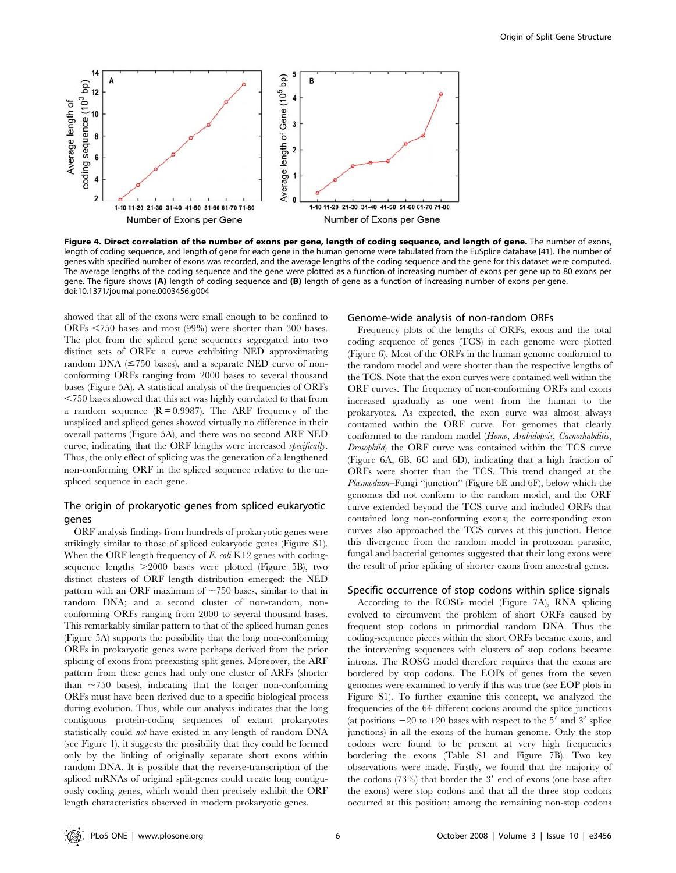

Figure 4. Direct correlation of the number of exons per gene, length of coding sequence, and length of gene. The number of exons, length of coding sequence, and length of gene for each gene in the human genome were tabulated from the EuSplice database [41]. The number of genes with specified number of exons was recorded, and the average lengths of the coding sequence and the gene for this dataset were computed. The average lengths of the coding sequence and the gene were plotted as a function of increasing number of exons per gene up to 80 exons per gene. The figure shows (A) length of coding sequence and (B) length of gene as a function of increasing number of exons per gene. doi:10.1371/journal.pone.0003456.g004

showed that all of the exons were small enough to be confined to ORFs  $\leq$ 750 bases and most (99%) were shorter than 300 bases. The plot from the spliced gene sequences segregated into two distinct sets of ORFs: a curve exhibiting NED approximating random DNA  $(\leq 750$  bases), and a separate NED curve of nonconforming ORFs ranging from 2000 bases to several thousand bases (Figure 5A). A statistical analysis of the frequencies of ORFs  $<$  750 bases showed that this set was highly correlated to that from a random sequence  $(R = 0.9987)$ . The ARF frequency of the unspliced and spliced genes showed virtually no difference in their overall patterns (Figure 5A), and there was no second ARF NED curve, indicating that the ORF lengths were increased specifically. Thus, the only effect of splicing was the generation of a lengthened non-conforming ORF in the spliced sequence relative to the unspliced sequence in each gene.

## The origin of prokaryotic genes from spliced eukaryotic genes

ORF analysis findings from hundreds of prokaryotic genes were strikingly similar to those of spliced eukaryotic genes (Figure S1). When the ORF length frequency of  $E$ . coli K12 genes with codingsequence lengths  $>2000$  bases were plotted (Figure 5B), two distinct clusters of ORF length distribution emerged: the NED pattern with an ORF maximum of  $\sim$  750 bases, similar to that in random DNA; and a second cluster of non-random, nonconforming ORFs ranging from 2000 to several thousand bases. This remarkably similar pattern to that of the spliced human genes (Figure 5A) supports the possibility that the long non-conforming ORFs in prokaryotic genes were perhaps derived from the prior splicing of exons from preexisting split genes. Moreover, the ARF pattern from these genes had only one cluster of ARFs (shorter than  $\sim$ 750 bases), indicating that the longer non-conforming ORFs must have been derived due to a specific biological process during evolution. Thus, while our analysis indicates that the long contiguous protein-coding sequences of extant prokaryotes statistically could not have existed in any length of random DNA (see Figure 1), it suggests the possibility that they could be formed only by the linking of originally separate short exons within random DNA. It is possible that the reverse-transcription of the spliced mRNAs of original split-genes could create long contiguously coding genes, which would then precisely exhibit the ORF length characteristics observed in modern prokaryotic genes.

#### Genome-wide analysis of non-random ORFs

Frequency plots of the lengths of ORFs, exons and the total coding sequence of genes (TCS) in each genome were plotted (Figure 6). Most of the ORFs in the human genome conformed to the random model and were shorter than the respective lengths of the TCS. Note that the exon curves were contained well within the ORF curves. The frequency of non-conforming ORFs and exons increased gradually as one went from the human to the prokaryotes. As expected, the exon curve was almost always contained within the ORF curve. For genomes that clearly conformed to the random model (Homo, Arabidopsis, Caenorhabditis, Drosophila) the ORF curve was contained within the TCS curve (Figure 6A, 6B, 6C and 6D), indicating that a high fraction of ORFs were shorter than the TCS. This trend changed at the Plasmodium–Fungi ''junction'' (Figure 6E and 6F), below which the genomes did not conform to the random model, and the ORF curve extended beyond the TCS curve and included ORFs that contained long non-conforming exons; the corresponding exon curves also approached the TCS curves at this junction. Hence this divergence from the random model in protozoan parasite, fungal and bacterial genomes suggested that their long exons were the result of prior splicing of shorter exons from ancestral genes.

#### Specific occurrence of stop codons within splice signals

According to the ROSG model (Figure 7A), RNA splicing evolved to circumvent the problem of short ORFs caused by frequent stop codons in primordial random DNA. Thus the coding-sequence pieces within the short ORFs became exons, and the intervening sequences with clusters of stop codons became introns. The ROSG model therefore requires that the exons are bordered by stop codons. The EOPs of genes from the seven genomes were examined to verify if this was true (see EOP plots in Figure S1). To further examine this concept, we analyzed the frequencies of the 64 different codons around the splice junctions (at positions  $-20$  to  $+20$  bases with respect to the 5' and 3' splice junctions) in all the exons of the human genome. Only the stop codons were found to be present at very high frequencies bordering the exons (Table S1 and Figure 7B). Two key observations were made. Firstly, we found that the majority of the codons  $(73%)$  that border the 3' end of exons (one base after the exons) were stop codons and that all the three stop codons occurred at this position; among the remaining non-stop codons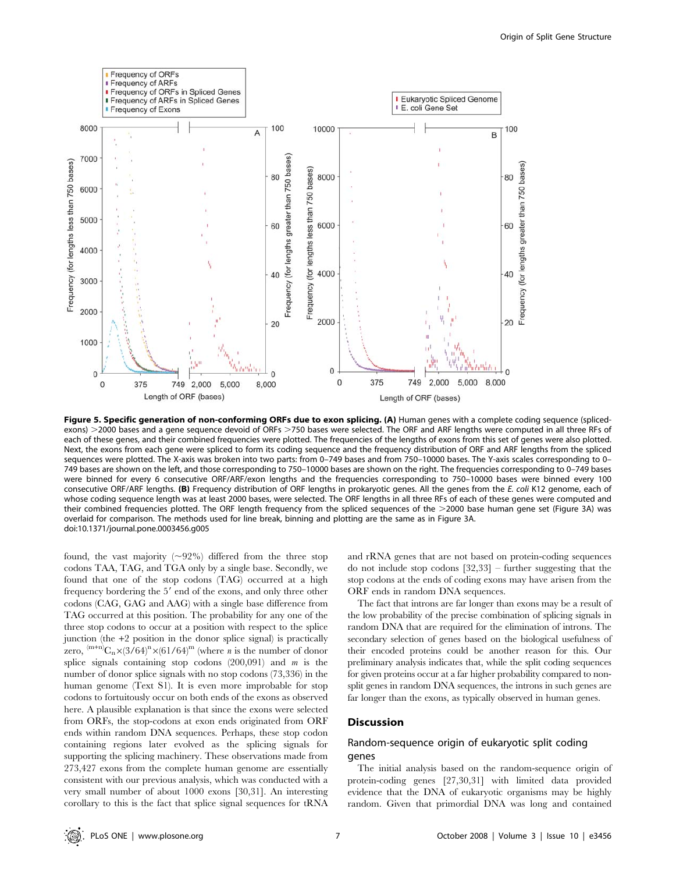

Figure 5. Specific generation of non-conforming ORFs due to exon splicing. (A) Human genes with a complete coding sequence (splicedexons) >2000 bases and a gene sequence devoid of ORFs >750 bases were selected. The ORF and ARF lengths were computed in all three RFs of each of these genes, and their combined frequencies were plotted. The frequencies of the lengths of exons from this set of genes were also plotted. Next, the exons from each gene were spliced to form its coding sequence and the frequency distribution of ORF and ARF lengths from the spliced sequences were plotted. The X-axis was broken into two parts: from 0-749 bases and from 750-10000 bases. The Y-axis scales corresponding to 0-749 bases are shown on the left, and those corresponding to 750–10000 bases are shown on the right. The frequencies corresponding to 0–749 bases were binned for every 6 consecutive ORF/ARF/exon lengths and the frequencies corresponding to 750–10000 bases were binned every 100 consecutive ORF/ARF lengths. (B) Frequency distribution of ORF lengths in prokaryotic genes. All the genes from the E. coli K12 genome, each of whose coding sequence length was at least 2000 bases, were selected. The ORF lengths in all three RFs of each of these genes were computed and their combined frequencies plotted. The ORF length frequency from the spliced sequences of the >2000 base human gene set (Figure 3A) was overlaid for comparison. The methods used for line break, binning and plotting are the same as in Figure 3A. doi:10.1371/journal.pone.0003456.g005

found, the vast majority  $(\sim 92\%)$  differed from the three stop codons TAA, TAG, and TGA only by a single base. Secondly, we found that one of the stop codons (TAG) occurred at a high frequency bordering the 5' end of the exons, and only three other codons (CAG, GAG and AAG) with a single base difference from TAG occurred at this position. The probability for any one of the three stop codons to occur at a position with respect to the splice junction (the +2 position in the donor splice signal) is practically zero,  $^{(m+n)}C_n\times(3/64)^n\times(61/64)^m$  (where *n* is the number of donor splice signals containing stop codons  $(200,091)$  and m is the number of donor splice signals with no stop codons (73,336) in the human genome (Text S1). It is even more improbable for stop codons to fortuitously occur on both ends of the exons as observed here. A plausible explanation is that since the exons were selected from ORFs, the stop-codons at exon ends originated from ORF ends within random DNA sequences. Perhaps, these stop codon containing regions later evolved as the splicing signals for supporting the splicing machinery. These observations made from 273,427 exons from the complete human genome are essentially consistent with our previous analysis, which was conducted with a very small number of about 1000 exons [30,31]. An interesting corollary to this is the fact that splice signal sequences for tRNA and rRNA genes that are not based on protein-coding sequences do not include stop codons [32,33] – further suggesting that the stop codons at the ends of coding exons may have arisen from the ORF ends in random DNA sequences.

The fact that introns are far longer than exons may be a result of the low probability of the precise combination of splicing signals in random DNA that are required for the elimination of introns. The secondary selection of genes based on the biological usefulness of their encoded proteins could be another reason for this. Our preliminary analysis indicates that, while the split coding sequences for given proteins occur at a far higher probability compared to nonsplit genes in random DNA sequences, the introns in such genes are far longer than the exons, as typically observed in human genes.

## Discussion

## Random-sequence origin of eukaryotic split coding genes

The initial analysis based on the random-sequence origin of protein-coding genes [27,30,31] with limited data provided evidence that the DNA of eukaryotic organisms may be highly random. Given that primordial DNA was long and contained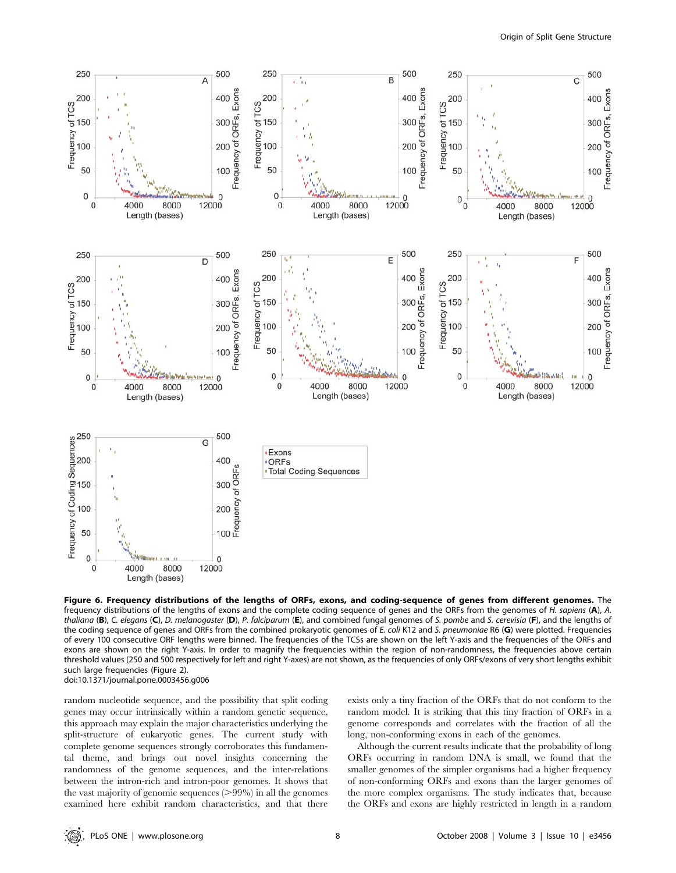

Figure 6. Frequency distributions of the lengths of ORFs, exons, and coding-sequence of genes from different genomes. The frequency distributions of the lengths of exons and the complete coding sequence of genes and the ORFs from the genomes of H. sapiens (A), A. thaliana (B), C. elegans (C), D. melanogaster (D), P. falciparum (E), and combined fungal genomes of S. pombe and S. cerevisia (F), and the lengths of the coding sequence of genes and ORFs from the combined prokaryotic genomes of E. coli K12 and S. pneumoniae R6 (G) were plotted. Frequencies of every 100 consecutive ORF lengths were binned. The frequencies of the TCSs are shown on the left Y-axis and the frequencies of the ORFs and exons are shown on the right Y-axis. In order to magnify the frequencies within the region of non-randomness, the frequencies above certain threshold values (250 and 500 respectively for left and right Y-axes) are not shown, as the frequencies of only ORFs/exons of very short lengths exhibit such large frequencies (Figure 2). doi:10.1371/journal.pone.0003456.g006

random nucleotide sequence, and the possibility that split coding genes may occur intrinsically within a random genetic sequence, this approach may explain the major characteristics underlying the split-structure of eukaryotic genes. The current study with complete genome sequences strongly corroborates this fundamental theme, and brings out novel insights concerning the randomness of the genome sequences, and the inter-relations between the intron-rich and intron-poor genomes. It shows that the vast majority of genomic sequences  $(>99\%)$  in all the genomes examined here exhibit random characteristics, and that there exists only a tiny fraction of the ORFs that do not conform to the random model. It is striking that this tiny fraction of ORFs in a genome corresponds and correlates with the fraction of all the long, non-conforming exons in each of the genomes.

Although the current results indicate that the probability of long ORFs occurring in random DNA is small, we found that the smaller genomes of the simpler organisms had a higher frequency of non-conforming ORFs and exons than the larger genomes of the more complex organisms. The study indicates that, because the ORFs and exons are highly restricted in length in a random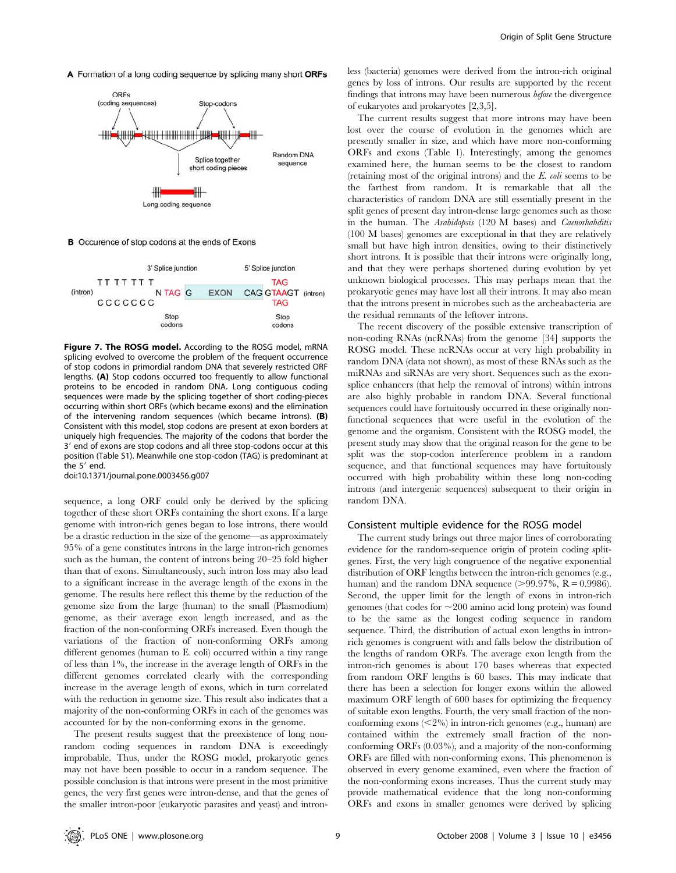A Formation of a long coding sequence by splicing many short ORFs



B Occurence of stop codons at the ends of Exons



Figure 7. The ROSG model. According to the ROSG model, mRNA splicing evolved to overcome the problem of the frequent occurrence of stop codons in primordial random DNA that severely restricted ORF lengths. (A) Stop codons occurred too frequently to allow functional proteins to be encoded in random DNA. Long contiguous coding sequences were made by the splicing together of short coding-pieces occurring within short ORFs (which became exons) and the elimination of the intervening random sequences (which became introns). (B) Consistent with this model, stop codons are present at exon borders at uniquely high frequencies. The majority of the codons that border the 3' end of exons are stop codons and all three stop-codons occur at this position (Table S1). Meanwhile one stop-codon (TAG) is predominant at the  $5'$  end.

doi:10.1371/journal.pone.0003456.g007

sequence, a long ORF could only be derived by the splicing together of these short ORFs containing the short exons. If a large genome with intron-rich genes began to lose introns, there would be a drastic reduction in the size of the genome—as approximately 95% of a gene constitutes introns in the large intron-rich genomes such as the human, the content of introns being 20–25 fold higher than that of exons. Simultaneously, such intron loss may also lead to a significant increase in the average length of the exons in the genome. The results here reflect this theme by the reduction of the genome size from the large (human) to the small (Plasmodium) genome, as their average exon length increased, and as the fraction of the non-conforming ORFs increased. Even though the variations of the fraction of non-conforming ORFs among different genomes (human to E. coli) occurred within a tiny range of less than 1%, the increase in the average length of ORFs in the different genomes correlated clearly with the corresponding increase in the average length of exons, which in turn correlated with the reduction in genome size. This result also indicates that a majority of the non-conforming ORFs in each of the genomes was accounted for by the non-conforming exons in the genome.

The present results suggest that the preexistence of long nonrandom coding sequences in random DNA is exceedingly improbable. Thus, under the ROSG model, prokaryotic genes may not have been possible to occur in a random sequence. The possible conclusion is that introns were present in the most primitive genes, the very first genes were intron-dense, and that the genes of the smaller intron-poor (eukaryotic parasites and yeast) and intronless (bacteria) genomes were derived from the intron-rich original genes by loss of introns. Our results are supported by the recent findings that introns may have been numerous before the divergence of eukaryotes and prokaryotes [2,3,5].

The current results suggest that more introns may have been lost over the course of evolution in the genomes which are presently smaller in size, and which have more non-conforming ORFs and exons (Table 1). Interestingly, among the genomes examined here, the human seems to be the closest to random (retaining most of the original introns) and the E. coli seems to be the farthest from random. It is remarkable that all the characteristics of random DNA are still essentially present in the split genes of present day intron-dense large genomes such as those in the human. The Arabidopsis (120 M bases) and Caenorhabditis (100 M bases) genomes are exceptional in that they are relatively small but have high intron densities, owing to their distinctively short introns. It is possible that their introns were originally long, and that they were perhaps shortened during evolution by yet unknown biological processes. This may perhaps mean that the prokaryotic genes may have lost all their introns. It may also mean that the introns present in microbes such as the archeabacteria are the residual remnants of the leftover introns.

The recent discovery of the possible extensive transcription of non-coding RNAs (ncRNAs) from the genome [34] supports the ROSG model. These ncRNAs occur at very high probability in random DNA (data not shown), as most of these RNAs such as the miRNAs and siRNAs are very short. Sequences such as the exonsplice enhancers (that help the removal of introns) within introns are also highly probable in random DNA. Several functional sequences could have fortuitously occurred in these originally nonfunctional sequences that were useful in the evolution of the genome and the organism. Consistent with the ROSG model, the present study may show that the original reason for the gene to be split was the stop-codon interference problem in a random sequence, and that functional sequences may have fortuitously occurred with high probability within these long non-coding introns (and intergenic sequences) subsequent to their origin in random DNA.

#### Consistent multiple evidence for the ROSG model

The current study brings out three major lines of corroborating evidence for the random-sequence origin of protein coding splitgenes. First, the very high congruence of the negative exponential distribution of ORF lengths between the intron-rich genomes (e.g., human) and the random DNA sequence ( $>99.97\%$ ,  $R = 0.9986$ ). Second, the upper limit for the length of exons in intron-rich genomes (that codes for  $\sim$  200 amino acid long protein) was found to be the same as the longest coding sequence in random sequence. Third, the distribution of actual exon lengths in intronrich genomes is congruent with and falls below the distribution of the lengths of random ORFs. The average exon length from the intron-rich genomes is about 170 bases whereas that expected from random ORF lengths is 60 bases. This may indicate that there has been a selection for longer exons within the allowed maximum ORF length of 600 bases for optimizing the frequency of suitable exon lengths. Fourth, the very small fraction of the nonconforming exons  $\left( \langle 2\% \rangle \right)$  in intron-rich genomes (e.g., human) are contained within the extremely small fraction of the nonconforming ORFs (0.03%), and a majority of the non-conforming ORFs are filled with non-conforming exons. This phenomenon is observed in every genome examined, even where the fraction of the non-conforming exons increases. Thus the current study may provide mathematical evidence that the long non-conforming ORFs and exons in smaller genomes were derived by splicing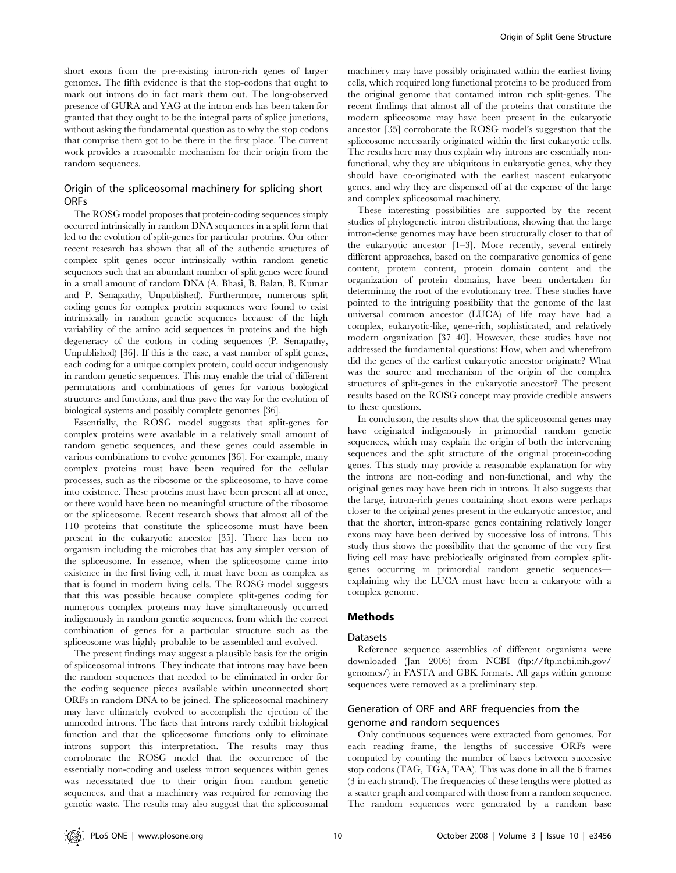short exons from the pre-existing intron-rich genes of larger genomes. The fifth evidence is that the stop-codons that ought to mark out introns do in fact mark them out. The long-observed presence of GURA and YAG at the intron ends has been taken for granted that they ought to be the integral parts of splice junctions, without asking the fundamental question as to why the stop codons that comprise them got to be there in the first place. The current work provides a reasonable mechanism for their origin from the random sequences.

#### Origin of the spliceosomal machinery for splicing short ORFs

The ROSG model proposes that protein-coding sequences simply occurred intrinsically in random DNA sequences in a split form that led to the evolution of split-genes for particular proteins. Our other recent research has shown that all of the authentic structures of complex split genes occur intrinsically within random genetic sequences such that an abundant number of split genes were found in a small amount of random DNA (A. Bhasi, B. Balan, B. Kumar and P. Senapathy, Unpublished). Furthermore, numerous split coding genes for complex protein sequences were found to exist intrinsically in random genetic sequences because of the high variability of the amino acid sequences in proteins and the high degeneracy of the codons in coding sequences (P. Senapathy, Unpublished) [36]. If this is the case, a vast number of split genes, each coding for a unique complex protein, could occur indigenously in random genetic sequences. This may enable the trial of different permutations and combinations of genes for various biological structures and functions, and thus pave the way for the evolution of biological systems and possibly complete genomes [36].

Essentially, the ROSG model suggests that split-genes for complex proteins were available in a relatively small amount of random genetic sequences, and these genes could assemble in various combinations to evolve genomes [36]. For example, many complex proteins must have been required for the cellular processes, such as the ribosome or the spliceosome, to have come into existence. These proteins must have been present all at once, or there would have been no meaningful structure of the ribosome or the spliceosome. Recent research shows that almost all of the 110 proteins that constitute the spliceosome must have been present in the eukaryotic ancestor [35]. There has been no organism including the microbes that has any simpler version of the spliceosome. In essence, when the spliceosome came into existence in the first living cell, it must have been as complex as that is found in modern living cells. The ROSG model suggests that this was possible because complete split-genes coding for numerous complex proteins may have simultaneously occurred indigenously in random genetic sequences, from which the correct combination of genes for a particular structure such as the spliceosome was highly probable to be assembled and evolved.

The present findings may suggest a plausible basis for the origin of spliceosomal introns. They indicate that introns may have been the random sequences that needed to be eliminated in order for the coding sequence pieces available within unconnected short ORFs in random DNA to be joined. The spliceosomal machinery may have ultimately evolved to accomplish the ejection of the unneeded introns. The facts that introns rarely exhibit biological function and that the spliceosome functions only to eliminate introns support this interpretation. The results may thus corroborate the ROSG model that the occurrence of the essentially non-coding and useless intron sequences within genes was necessitated due to their origin from random genetic sequences, and that a machinery was required for removing the genetic waste. The results may also suggest that the spliceosomal

machinery may have possibly originated within the earliest living cells, which required long functional proteins to be produced from the original genome that contained intron rich split-genes. The recent findings that almost all of the proteins that constitute the modern spliceosome may have been present in the eukaryotic ancestor [35] corroborate the ROSG model's suggestion that the spliceosome necessarily originated within the first eukaryotic cells. The results here may thus explain why introns are essentially nonfunctional, why they are ubiquitous in eukaryotic genes, why they should have co-originated with the earliest nascent eukaryotic genes, and why they are dispensed off at the expense of the large and complex spliceosomal machinery.

These interesting possibilities are supported by the recent studies of phylogenetic intron distributions, showing that the large intron-dense genomes may have been structurally closer to that of the eukaryotic ancestor [1–3]. More recently, several entirely different approaches, based on the comparative genomics of gene content, protein content, protein domain content and the organization of protein domains, have been undertaken for determining the root of the evolutionary tree. These studies have pointed to the intriguing possibility that the genome of the last universal common ancestor (LUCA) of life may have had a complex, eukaryotic-like, gene-rich, sophisticated, and relatively modern organization [37–40]. However, these studies have not addressed the fundamental questions: How, when and wherefrom did the genes of the earliest eukaryotic ancestor originate? What was the source and mechanism of the origin of the complex structures of split-genes in the eukaryotic ancestor? The present results based on the ROSG concept may provide credible answers to these questions.

In conclusion, the results show that the spliceosomal genes may have originated indigenously in primordial random genetic sequences, which may explain the origin of both the intervening sequences and the split structure of the original protein-coding genes. This study may provide a reasonable explanation for why the introns are non-coding and non-functional, and why the original genes may have been rich in introns. It also suggests that the large, intron-rich genes containing short exons were perhaps closer to the original genes present in the eukaryotic ancestor, and that the shorter, intron-sparse genes containing relatively longer exons may have been derived by successive loss of introns. This study thus shows the possibility that the genome of the very first living cell may have prebiotically originated from complex splitgenes occurring in primordial random genetic sequences explaining why the LUCA must have been a eukaryote with a complex genome.

## Methods

## Datasets

Reference sequence assemblies of different organisms were downloaded (Jan 2006) from NCBI (ftp://ftp.ncbi.nih.gov/ genomes/) in FASTA and GBK formats. All gaps within genome sequences were removed as a preliminary step.

## Generation of ORF and ARF frequencies from the genome and random sequences

Only continuous sequences were extracted from genomes. For each reading frame, the lengths of successive ORFs were computed by counting the number of bases between successive stop codons (TAG, TGA, TAA). This was done in all the 6 frames (3 in each strand). The frequencies of these lengths were plotted as a scatter graph and compared with those from a random sequence. The random sequences were generated by a random base